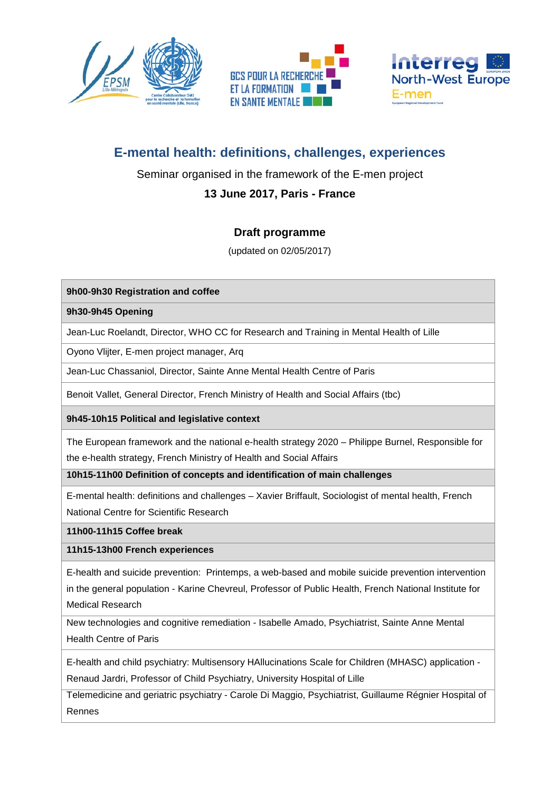





# **E-mental health: definitions, challenges, experiences**

### Seminar organised in the framework of the E-men project

## **13 June 2017, Paris - France**

#### **Draft programme**

(updated on 02/05/2017)

#### **9h00-9h30 Registration and coffee**

#### **9h30-9h45 Opening**

Jean-Luc Roelandt, Director, WHO CC for Research and Training in Mental Health of Lille

Oyono Vlijter, E-men project manager, Arq

Jean-Luc Chassaniol, Director, Sainte Anne Mental Health Centre of Paris

Benoit Vallet, General Director, French Ministry of Health and Social Affairs (tbc)

**9h45-10h15 Political and legislative context**

The European framework and the national e-health strategy 2020 – Philippe Burnel, Responsible for the e-health strategy, French Ministry of Health and Social Affairs

**10h15-11h00 Definition of concepts and identification of main challenges**

E-mental health: definitions and challenges – Xavier Briffault, Sociologist of mental health, French National Centre for Scientific Research

**11h00-11h15 Coffee break**

**11h15-13h00 French experiences**

E-health and suicide prevention: Printemps, a web-based and mobile suicide prevention intervention in the general population - Karine Chevreul, Professor of Public Health, French National Institute for Medical Research

New technologies and cognitive remediation - Isabelle Amado, Psychiatrist, Sainte Anne Mental Health Centre of Paris

E-health and child psychiatry: Multisensory HAllucinations Scale for Children (MHASC) application - Renaud Jardri, Professor of Child Psychiatry, University Hospital of Lille

Telemedicine and geriatric psychiatry - Carole Di Maggio, Psychiatrist, Guillaume Régnier Hospital of Rennes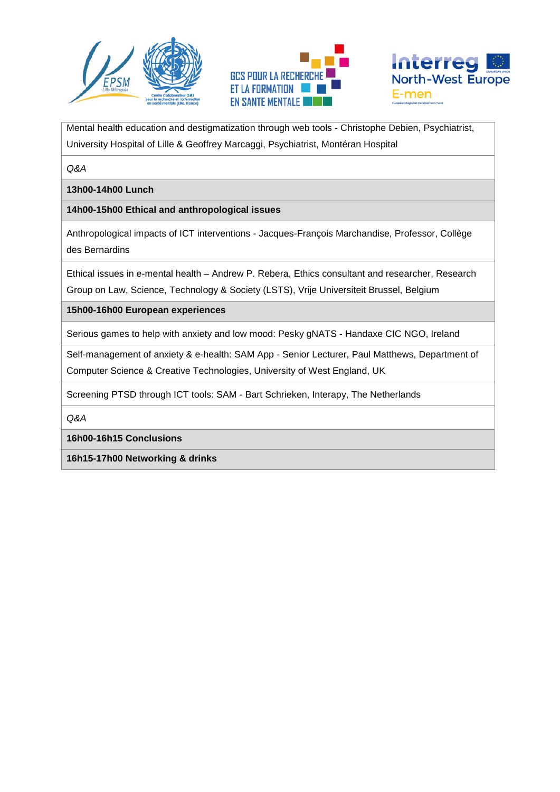





Mental health education and destigmatization through web tools - Christophe Debien, Psychiatrist, University Hospital of Lille & Geoffrey Marcaggi, Psychiatrist, Montéran Hospital

*Q&A*

**13h00-14h00 Lunch** 

**14h00-15h00 Ethical and anthropological issues**

Anthropological impacts of ICT interventions - Jacques-François Marchandise, Professor, Collège des Bernardins

Ethical issues in e-mental health – Andrew P. Rebera, Ethics consultant and researcher, Research Group on Law, Science, Technology & Society (LSTS), Vrije Universiteit Brussel, Belgium

**15h00-16h00 European experiences**

Serious games to help with anxiety and low mood: Pesky gNATS - Handaxe CIC NGO, Ireland

Self-management of anxiety & e-health: SAM App - Senior Lecturer, Paul Matthews, Department of Computer Science & Creative Technologies, University of West England, UK

Screening PTSD through ICT tools: SAM - Bart Schrieken, Interapy, The Netherlands

*Q&A*

**16h00-16h15 Conclusions**

**16h15-17h00 Networking & drinks**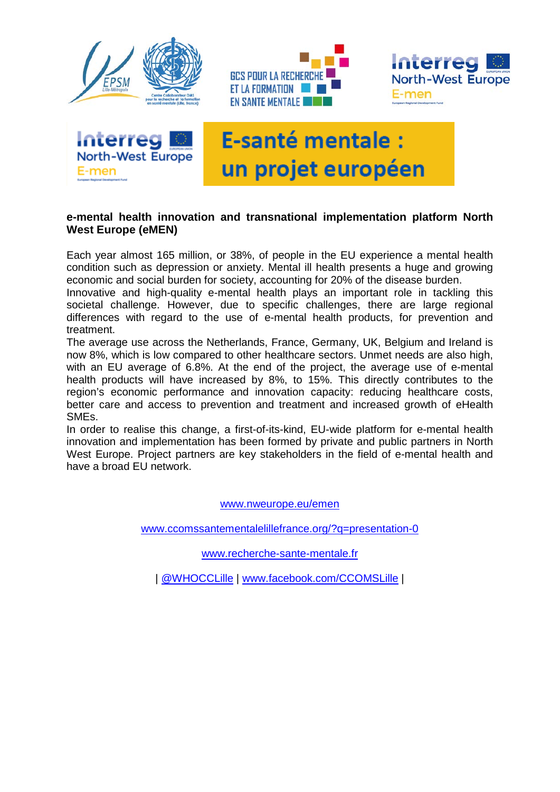







# **E-santé mentale:** un projet européen

#### **e-mental health innovation and transnational implementation platform North West Europe (eMEN)**

Each year almost 165 million, or 38%, of people in the EU experience a mental health condition such as depression or anxiety. Mental ill health presents a huge and growing economic and social burden for society, accounting for 20% of the disease burden.

Innovative and high-quality e-mental health plays an important role in tackling this societal challenge. However, due to specific challenges, there are large regional differences with regard to the use of e-mental health products, for prevention and treatment.

The average use across the Netherlands, France, Germany, UK, Belgium and Ireland is now 8%, which is low compared to other healthcare sectors. Unmet needs are also high, with an EU average of 6.8%. At the end of the project, the average use of e-mental health products will have increased by 8%, to 15%. This directly contributes to the region's economic performance and innovation capacity: reducing healthcare costs, better care and access to prevention and treatment and increased growth of eHealth SMEs.

In order to realise this change, a first-of-its-kind, EU-wide platform for e-mental health innovation and implementation has been formed by private and public partners in North West Europe. Project partners are key stakeholders in the field of e-mental health and have a broad EU network.

[www.nweurope.eu/emen](http://www.nweurope.eu/emen)

[www.ccomssantementalelillefrance.org/?q=presentation-0](http://www.ccomssantementalelillefrance.org/?q=presentation-0)

[www.recherche-sante-mentale.fr](http://www.recherche-sante-mentale.fr/)

| [@WHOCCLille](https://twitter.com/WHOCCLille) | [www.facebook.com/CCOMSLille](http://www.facebook.com/CCOMSLille) |